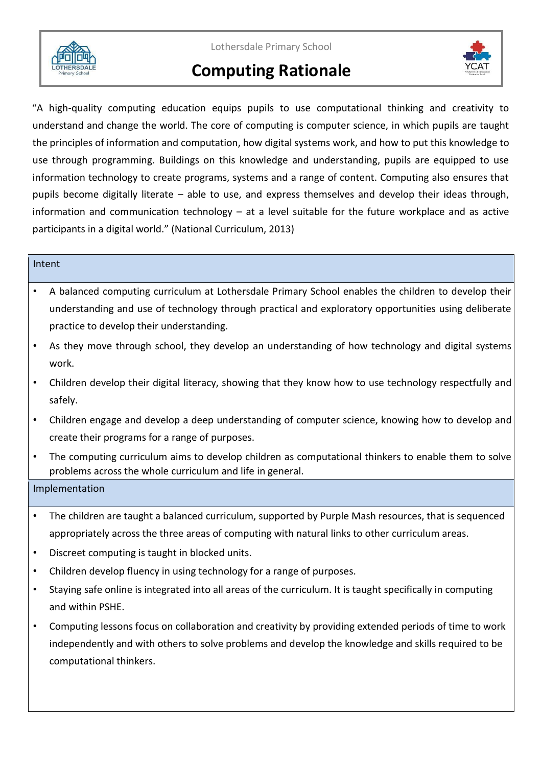

Lothersdale Primary School

# **Computing Rationale**



"A high-quality computing education equips pupils to use computational thinking and creativity to understand and change the world. The core of computing is computer science, in which pupils are taught the principles of information and computation, how digital systems work, and how to put this knowledge to use through programming. Buildings on this knowledge and understanding, pupils are equipped to use information technology to create programs, systems and a range of content. Computing also ensures that pupils become digitally literate – able to use, and express themselves and develop their ideas through, information and communication technology – at a level suitable for the future workplace and as active participants in a digital world." (National Curriculum, 2013)

## Intent

- A balanced computing curriculum at Lothersdale Primary School enables the children to develop their understanding and use of technology through practical and exploratory opportunities using deliberate practice to develop their understanding.
- As they move through school, they develop an understanding of how technology and digital systems work.
- Children develop their digital literacy, showing that they know how to use technology respectfully and safely.
- Children engage and develop a deep understanding of computer science, knowing how to develop and create their programs for a range of purposes.
- The computing curriculum aims to develop children as computational thinkers to enable them to solve problems across the whole curriculum and life in general.

# Implementation

- The children are taught a balanced curriculum, supported by Purple Mash resources, that is sequenced appropriately across the three areas of computing with natural links to other curriculum areas.
- Discreet computing is taught in blocked units.
- Children develop fluency in using technology for a range of purposes.
- Staying safe online is integrated into all areas of the curriculum. It is taught specifically in computing and within PSHE.
- Computing lessons focus on collaboration and creativity by providing extended periods of time to work independently and with others to solve problems and develop the knowledge and skills required to be computational thinkers.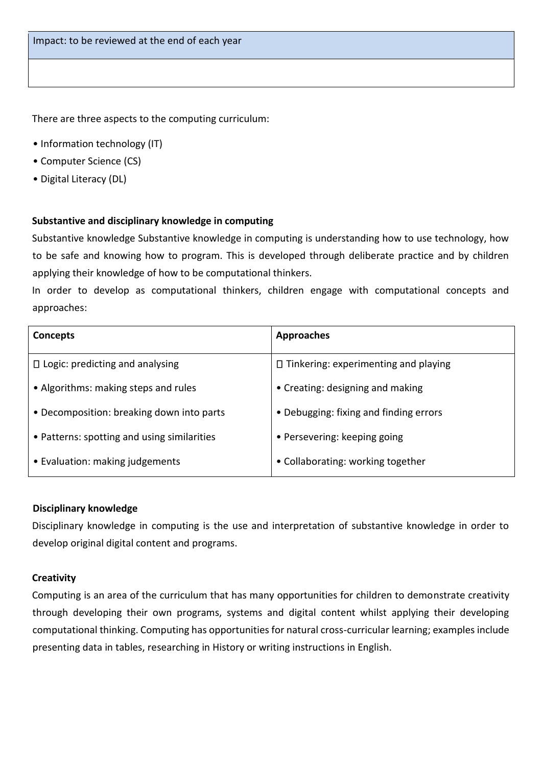There are three aspects to the computing curriculum:

- Information technology (IT)
- Computer Science (CS)
- Digital Literacy (DL)

### **Substantive and disciplinary knowledge in computing**

Substantive knowledge Substantive knowledge in computing is understanding how to use technology, how to be safe and knowing how to program. This is developed through deliberate practice and by children applying their knowledge of how to be computational thinkers.

In order to develop as computational thinkers, children engage with computational concepts and approaches:

| <b>Concepts</b>                             | <b>Approaches</b>                           |
|---------------------------------------------|---------------------------------------------|
| $\Box$ Logic: predicting and analysing      | $\Box$ Tinkering: experimenting and playing |
| • Algorithms: making steps and rules        | • Creating: designing and making            |
| • Decomposition: breaking down into parts   | • Debugging: fixing and finding errors      |
| • Patterns: spotting and using similarities | • Persevering: keeping going                |
| • Evaluation: making judgements             | • Collaborating: working together           |

#### **Disciplinary knowledge**

Disciplinary knowledge in computing is the use and interpretation of substantive knowledge in order to develop original digital content and programs.

### **Creativity**

Computing is an area of the curriculum that has many opportunities for children to demonstrate creativity through developing their own programs, systems and digital content whilst applying their developing computational thinking. Computing has opportunities for natural cross-curricular learning; examples include presenting data in tables, researching in History or writing instructions in English.